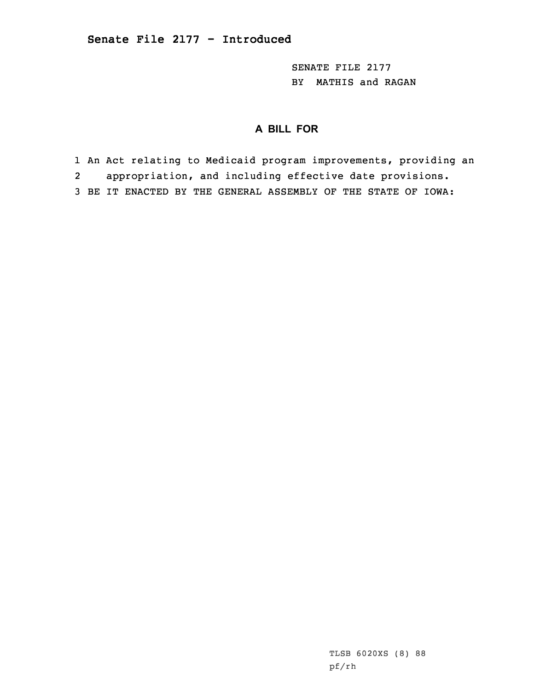SENATE FILE 2177 BY MATHIS and RAGAN

# **A BILL FOR**

1 An Act relating to Medicaid program improvements, providing an 2 appropriation, and including effective date provisions. 3 BE IT ENACTED BY THE GENERAL ASSEMBLY OF THE STATE OF IOWA: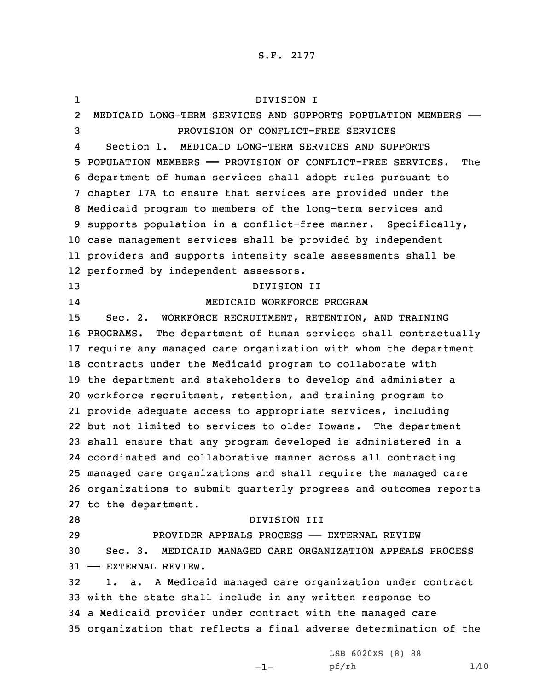S.F. 2177

1 DIVISION I 2 MEDICAID LONG-TERM SERVICES AND SUPPORTS POPULATION MEMBERS —— PROVISION OF CONFLICT-FREE SERVICES 4 Section 1. MEDICAID LONG-TERM SERVICES AND SUPPORTS POPULATION MEMBERS —— PROVISION OF CONFLICT-FREE SERVICES. The department of human services shall adopt rules pursuant to chapter 17A to ensure that services are provided under the Medicaid program to members of the long-term services and supports population in <sup>a</sup> conflict-free manner. Specifically, case management services shall be provided by independent providers and supports intensity scale assessments shall be performed by independent assessors. DIVISION II 14 MEDICAID WORKFORCE PROGRAM Sec. 2. WORKFORCE RECRUITMENT, RETENTION, AND TRAINING PROGRAMS. The department of human services shall contractually require any managed care organization with whom the department contracts under the Medicaid program to collaborate with the department and stakeholders to develop and administer <sup>a</sup> workforce recruitment, retention, and training program to provide adequate access to appropriate services, including but not limited to services to older Iowans. The department shall ensure that any program developed is administered in <sup>a</sup> coordinated and collaborative manner across all contracting managed care organizations and shall require the managed care organizations to submit quarterly progress and outcomes reports to the department. DIVISION III PROVIDER APPEALS PROCESS —— EXTERNAL REVIEW Sec. 3. MEDICAID MANAGED CARE ORGANIZATION APPEALS PROCESS —— EXTERNAL REVIEW. 1. a. <sup>A</sup> Medicaid managed care organization under contract with the state shall include in any written response to <sup>a</sup> Medicaid provider under contract with the managed care organization that reflects <sup>a</sup> final adverse determination of the

-1-

LSB 6020XS (8) 88 pf/rh 1/10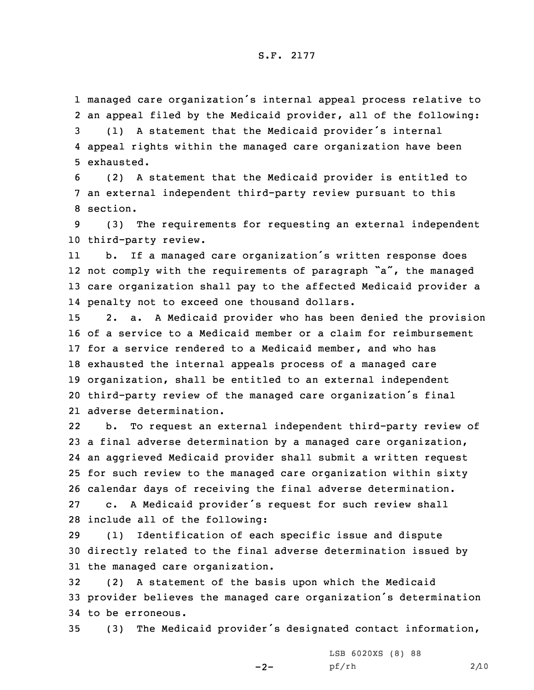### S.F. 2177

1 managed care organization's internal appeal process relative to 2 an appeal filed by the Medicaid provider, all of the following:

<sup>3</sup> (1) <sup>A</sup> statement that the Medicaid provider's internal 4 appeal rights within the managed care organization have been 5 exhausted.

6 (2) <sup>A</sup> statement that the Medicaid provider is entitled to 7 an external independent third-party review pursuant to this 8 section.

9 (3) The requirements for requesting an external independent 10 third-party review.

11 b. If <sup>a</sup> managed care organization's written response does 12 not comply with the requirements of paragraph "a", the managed 13 care organization shall pay to the affected Medicaid provider <sup>a</sup> 14 penalty not to exceed one thousand dollars.

 2. a. <sup>A</sup> Medicaid provider who has been denied the provision of <sup>a</sup> service to <sup>a</sup> Medicaid member or <sup>a</sup> claim for reimbursement for <sup>a</sup> service rendered to <sup>a</sup> Medicaid member, and who has exhausted the internal appeals process of <sup>a</sup> managed care organization, shall be entitled to an external independent third-party review of the managed care organization's final adverse determination.

22 b. To request an external independent third-party review of <sup>a</sup> final adverse determination by <sup>a</sup> managed care organization, an aggrieved Medicaid provider shall submit <sup>a</sup> written request for such review to the managed care organization within sixty calendar days of receiving the final adverse determination. c. <sup>A</sup> Medicaid provider's request for such review shall include all of the following:

29 (1) Identification of each specific issue and dispute 30 directly related to the final adverse determination issued by 31 the managed care organization.

32 (2) <sup>A</sup> statement of the basis upon which the Medicaid <sup>33</sup> provider believes the managed care organization's determination 34 to be erroneous.

<sup>35</sup> (3) The Medicaid provider's designated contact information,

 $-2-$ 

LSB 6020XS (8) 88 pf/rh 2/10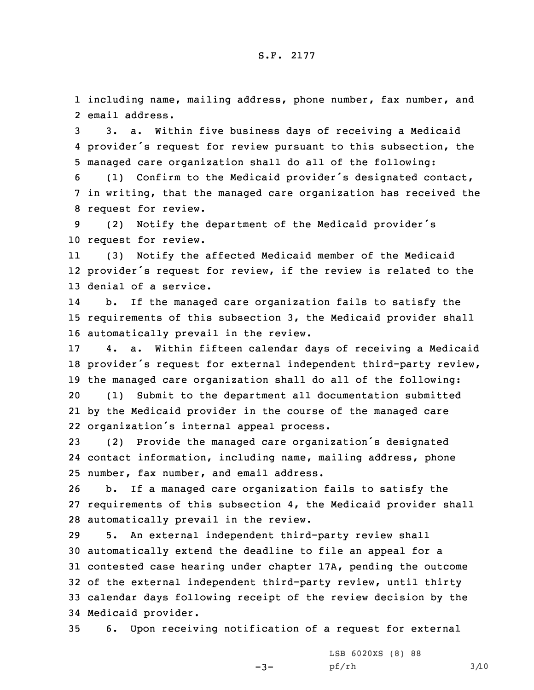1 including name, mailing address, phone number, fax number, and 2 email address.

3 3. a. Within five business days of receiving <sup>a</sup> Medicaid 4 provider's request for review pursuant to this subsection, the 5 managed care organization shall do all of the following:

<sup>6</sup> (1) Confirm to the Medicaid provider's designated contact, 7 in writing, that the managed care organization has received the 8 request for review.

<sup>9</sup> (2) Notify the department of the Medicaid provider's 10 request for review.

11 (3) Notify the affected Medicaid member of the Medicaid 12 provider's request for review, if the review is related to the 13 denial of <sup>a</sup> service.

14 b. If the managed care organization fails to satisfy the 15 requirements of this subsection 3, the Medicaid provider shall 16 automatically prevail in the review.

 4. a. Within fifteen calendar days of receiving <sup>a</sup> Medicaid provider's request for external independent third-party review, the managed care organization shall do all of the following: (1) Submit to the department all documentation submitted by the Medicaid provider in the course of the managed care organization's internal appeal process.

<sup>23</sup> (2) Provide the managed care organization's designated 24 contact information, including name, mailing address, phone 25 number, fax number, and email address.

26 b. If <sup>a</sup> managed care organization fails to satisfy the 27 requirements of this subsection 4, the Medicaid provider shall 28 automatically prevail in the review.

 5. An external independent third-party review shall automatically extend the deadline to file an appeal for <sup>a</sup> contested case hearing under chapter 17A, pending the outcome of the external independent third-party review, until thirty calendar days following receipt of the review decision by the Medicaid provider.

35 6. Upon receiving notification of <sup>a</sup> request for external

 $-3-$ 

LSB 6020XS (8) 88 pf/rh 3/10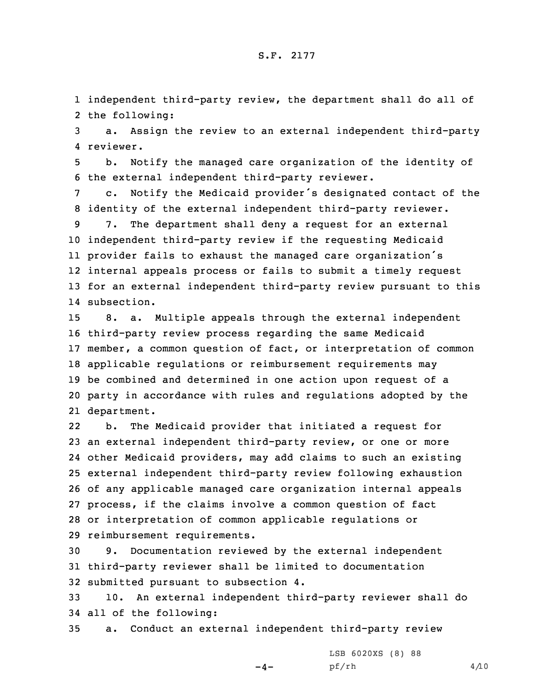1 independent third-party review, the department shall do all of 2 the following:

3 a. Assign the review to an external independent third-party 4 reviewer.

5 b. Notify the managed care organization of the identity of 6 the external independent third-party reviewer.

<sup>7</sup> c. Notify the Medicaid provider's designated contact of the 8 identity of the external independent third-party reviewer.

 7. The department shall deny <sup>a</sup> request for an external independent third-party review if the requesting Medicaid provider fails to exhaust the managed care organization's internal appeals process or fails to submit <sup>a</sup> timely request for an external independent third-party review pursuant to this subsection.

 8. a. Multiple appeals through the external independent third-party review process regarding the same Medicaid member, <sup>a</sup> common question of fact, or interpretation of common applicable regulations or reimbursement requirements may be combined and determined in one action upon request of <sup>a</sup> party in accordance with rules and regulations adopted by the department.

22 b. The Medicaid provider that initiated <sup>a</sup> request for an external independent third-party review, or one or more other Medicaid providers, may add claims to such an existing external independent third-party review following exhaustion of any applicable managed care organization internal appeals process, if the claims involve <sup>a</sup> common question of fact or interpretation of common applicable regulations or reimbursement requirements.

30 9. Documentation reviewed by the external independent 31 third-party reviewer shall be limited to documentation 32 submitted pursuant to subsection 4.

33 10. An external independent third-party reviewer shall do 34 all of the following:

35 a. Conduct an external independent third-party review

 $-4-$ 

LSB 6020XS (8) 88 pf/rh 4/10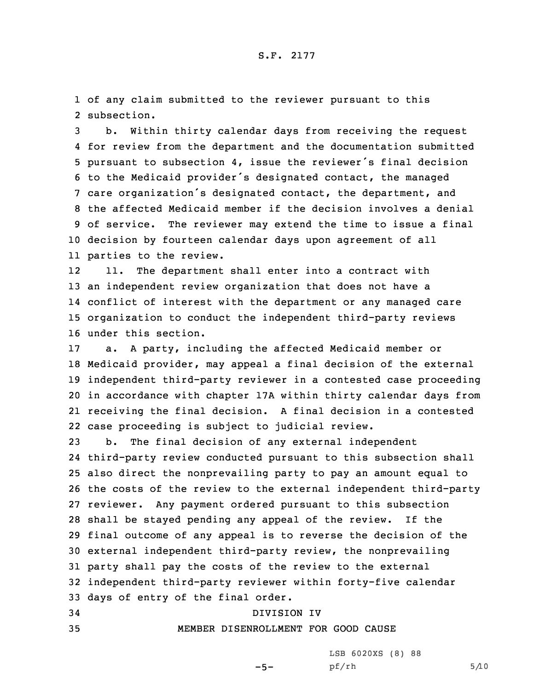1 of any claim submitted to the reviewer pursuant to this 2 subsection.

 b. Within thirty calendar days from receiving the request for review from the department and the documentation submitted pursuant to subsection 4, issue the reviewer's final decision to the Medicaid provider's designated contact, the managed care organization's designated contact, the department, and the affected Medicaid member if the decision involves <sup>a</sup> denial of service. The reviewer may extend the time to issue <sup>a</sup> final decision by fourteen calendar days upon agreement of all parties to the review.

12 11. The department shall enter into <sup>a</sup> contract with an independent review organization that does not have <sup>a</sup> conflict of interest with the department or any managed care organization to conduct the independent third-party reviews under this section.

 a. <sup>A</sup> party, including the affected Medicaid member or Medicaid provider, may appeal <sup>a</sup> final decision of the external independent third-party reviewer in <sup>a</sup> contested case proceeding in accordance with chapter 17A within thirty calendar days from receiving the final decision. <sup>A</sup> final decision in <sup>a</sup> contested case proceeding is subject to judicial review.

 b. The final decision of any external independent third-party review conducted pursuant to this subsection shall also direct the nonprevailing party to pay an amount equal to the costs of the review to the external independent third-party reviewer. Any payment ordered pursuant to this subsection shall be stayed pending any appeal of the review. If the final outcome of any appeal is to reverse the decision of the external independent third-party review, the nonprevailing party shall pay the costs of the review to the external independent third-party reviewer within forty-five calendar days of entry of the final order. DIVISION IV

## 35 MEMBER DISENROLLMENT FOR GOOD CAUSE

LSB 6020XS (8) 88

 $-5-$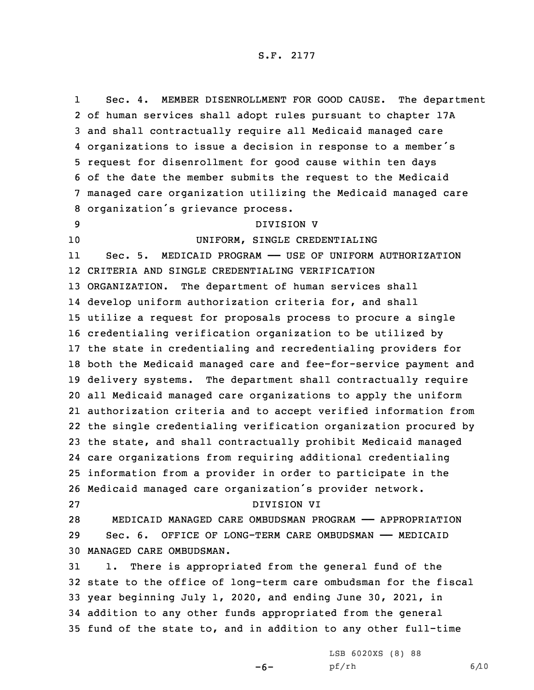1 Sec. 4. MEMBER DISENROLLMENT FOR GOOD CAUSE. The department of human services shall adopt rules pursuant to chapter 17A and shall contractually require all Medicaid managed care organizations to issue <sup>a</sup> decision in response to <sup>a</sup> member's request for disenrollment for good cause within ten days of the date the member submits the request to the Medicaid managed care organization utilizing the Medicaid managed care organization's grievance process. DIVISION V 10 UNIFORM, SINGLE CREDENTIALING 11 Sec. 5. MEDICAID PROGRAM —— USE OF UNIFORM AUTHORIZATION CRITERIA AND SINGLE CREDENTIALING VERIFICATION ORGANIZATION. The department of human services shall develop uniform authorization criteria for, and shall utilize <sup>a</sup> request for proposals process to procure <sup>a</sup> single credentialing verification organization to be utilized by the state in credentialing and recredentialing providers for both the Medicaid managed care and fee-for-service payment and delivery systems. The department shall contractually require all Medicaid managed care organizations to apply the uniform authorization criteria and to accept verified information from the single credentialing verification organization procured by the state, and shall contractually prohibit Medicaid managed care organizations from requiring additional credentialing information from <sup>a</sup> provider in order to participate in the Medicaid managed care organization's provider network. DIVISION VI MEDICAID MANAGED CARE OMBUDSMAN PROGRAM —— APPROPRIATION Sec. 6. OFFICE OF LONG-TERM CARE OMBUDSMAN —— MEDICAID MANAGED CARE OMBUDSMAN. 1. There is appropriated from the general fund of the state to the office of long-term care ombudsman for the fiscal year beginning July 1, 2020, and ending June 30, 2021, in addition to any other funds appropriated from the general fund of the state to, and in addition to any other full-time

 $-6-$ 

LSB 6020XS (8) 88 pf/rh 6/10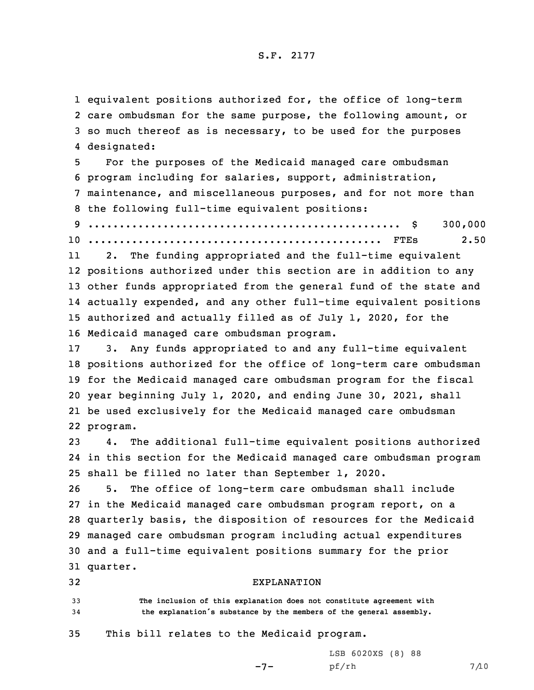#### S.F. 2177

 equivalent positions authorized for, the office of long-term care ombudsman for the same purpose, the following amount, or so much thereof as is necessary, to be used for the purposes designated:

 For the purposes of the Medicaid managed care ombudsman program including for salaries, support, administration, maintenance, and miscellaneous purposes, and for not more than the following full-time equivalent positions: .................................................. \$ 300,000

10 ............................................... FTEs 2.50

11 2. The funding appropriated and the full-time equivalent positions authorized under this section are in addition to any other funds appropriated from the general fund of the state and actually expended, and any other full-time equivalent positions authorized and actually filled as of July 1, 2020, for the Medicaid managed care ombudsman program.

 3. Any funds appropriated to and any full-time equivalent positions authorized for the office of long-term care ombudsman for the Medicaid managed care ombudsman program for the fiscal year beginning July 1, 2020, and ending June 30, 2021, shall be used exclusively for the Medicaid managed care ombudsman 22 program.

23 4. The additional full-time equivalent positions authorized 24 in this section for the Medicaid managed care ombudsman program 25 shall be filled no later than September 1, 2020.

 5. The office of long-term care ombudsman shall include in the Medicaid managed care ombudsman program report, on <sup>a</sup> quarterly basis, the disposition of resources for the Medicaid managed care ombudsman program including actual expenditures and <sup>a</sup> full-time equivalent positions summary for the prior 31 quarter.

32 EXPLANATION 33 **The inclusion of this explanation does not constitute agreement with** <sup>34</sup> **the explanation's substance by the members of the general assembly.**

# 35 This bill relates to the Medicaid program.

LSB 6020XS (8) 88

-7-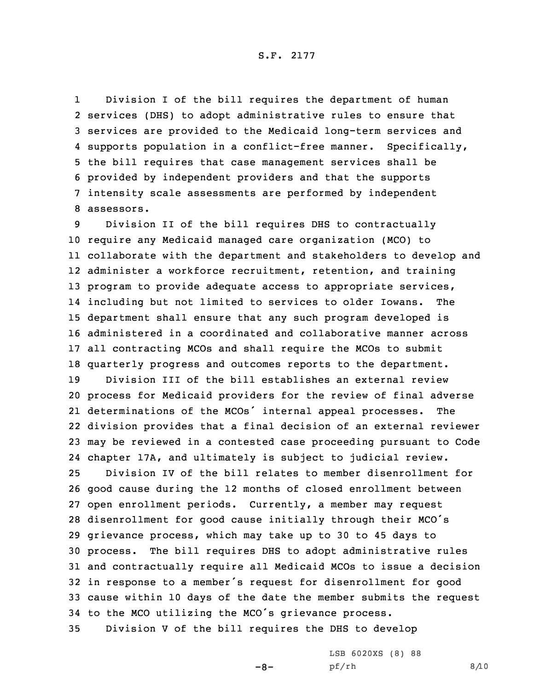1 Division <sup>I</sup> of the bill requires the department of human services (DHS) to adopt administrative rules to ensure that services are provided to the Medicaid long-term services and supports population in <sup>a</sup> conflict-free manner. Specifically, the bill requires that case management services shall be provided by independent providers and that the supports intensity scale assessments are performed by independent assessors.

 Division II of the bill requires DHS to contractually require any Medicaid managed care organization (MCO) to collaborate with the department and stakeholders to develop and administer <sup>a</sup> workforce recruitment, retention, and training program to provide adequate access to appropriate services, including but not limited to services to older Iowans. The department shall ensure that any such program developed is administered in <sup>a</sup> coordinated and collaborative manner across all contracting MCOs and shall require the MCOs to submit quarterly progress and outcomes reports to the department.

 Division III of the bill establishes an external review process for Medicaid providers for the review of final adverse determinations of the MCOs' internal appeal processes. The division provides that <sup>a</sup> final decision of an external reviewer may be reviewed in <sup>a</sup> contested case proceeding pursuant to Code chapter 17A, and ultimately is subject to judicial review.

 Division IV of the bill relates to member disenrollment for good cause during the 12 months of closed enrollment between open enrollment periods. Currently, <sup>a</sup> member may request disenrollment for good cause initially through their MCO's grievance process, which may take up to 30 to 45 days to process. The bill requires DHS to adopt administrative rules and contractually require all Medicaid MCOs to issue <sup>a</sup> decision in response to <sup>a</sup> member's request for disenrollment for good cause within 10 days of the date the member submits the request to the MCO utilizing the MCO's grievance process.

35 Division <sup>V</sup> of the bill requires the DHS to develop

 $-8-$ 

LSB 6020XS (8) 88 pf/rh 8/10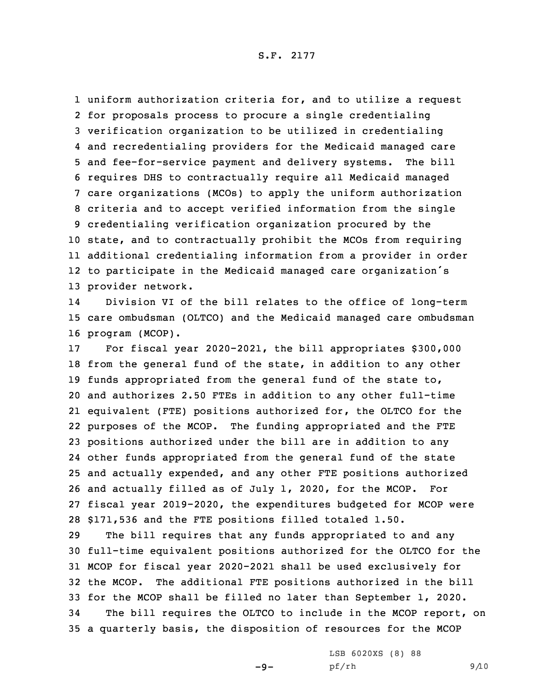uniform authorization criteria for, and to utilize <sup>a</sup> request for proposals process to procure <sup>a</sup> single credentialing verification organization to be utilized in credentialing and recredentialing providers for the Medicaid managed care and fee-for-service payment and delivery systems. The bill requires DHS to contractually require all Medicaid managed care organizations (MCOs) to apply the uniform authorization criteria and to accept verified information from the single credentialing verification organization procured by the state, and to contractually prohibit the MCOs from requiring additional credentialing information from <sup>a</sup> provider in order to participate in the Medicaid managed care organization's provider network.

14 Division VI of the bill relates to the office of long-term 15 care ombudsman (OLTCO) and the Medicaid managed care ombudsman 16 program (MCOP).

 For fiscal year 2020-2021, the bill appropriates \$300,000 from the general fund of the state, in addition to any other funds appropriated from the general fund of the state to, and authorizes 2.50 FTEs in addition to any other full-time equivalent (FTE) positions authorized for, the OLTCO for the purposes of the MCOP. The funding appropriated and the FTE positions authorized under the bill are in addition to any other funds appropriated from the general fund of the state and actually expended, and any other FTE positions authorized and actually filled as of July 1, 2020, for the MCOP. For fiscal year 2019-2020, the expenditures budgeted for MCOP were \$171,536 and the FTE positions filled totaled 1.50.

 The bill requires that any funds appropriated to and any full-time equivalent positions authorized for the OLTCO for the MCOP for fiscal year 2020-2021 shall be used exclusively for the MCOP. The additional FTE positions authorized in the bill for the MCOP shall be filled no later than September 1, 2020. The bill requires the OLTCO to include in the MCOP report, on <sup>a</sup> quarterly basis, the disposition of resources for the MCOP

 $-9-$ 

LSB 6020XS (8) 88 pf/rh 9/10